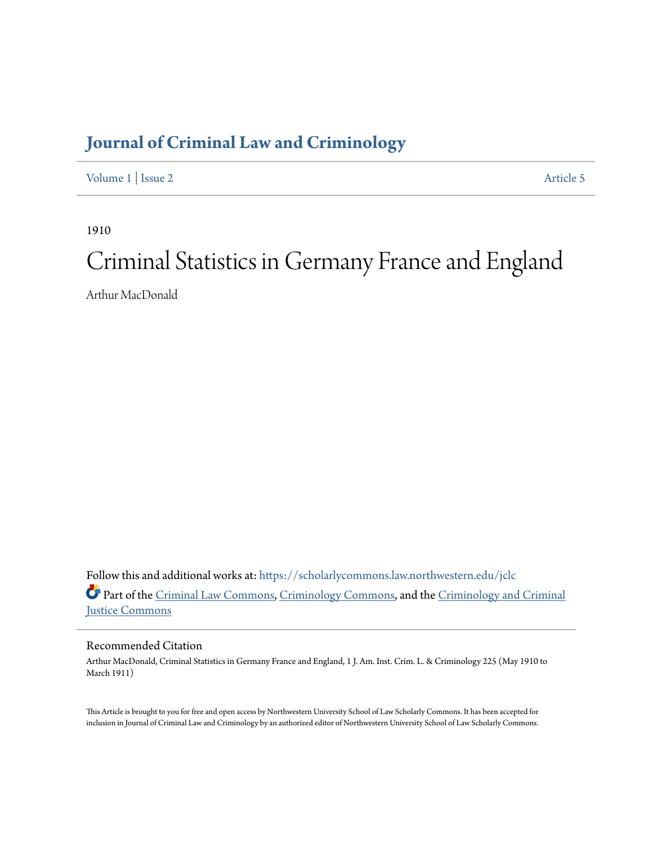# **[Journal of Criminal Law and Criminology](https://scholarlycommons.law.northwestern.edu/jclc?utm_source=scholarlycommons.law.northwestern.edu%2Fjclc%2Fvol1%2Fiss2%2F5&utm_medium=PDF&utm_campaign=PDFCoverPages)**

[Volume 1](https://scholarlycommons.law.northwestern.edu/jclc/vol1?utm_source=scholarlycommons.law.northwestern.edu%2Fjclc%2Fvol1%2Fiss2%2F5&utm_medium=PDF&utm_campaign=PDFCoverPages) | [Issue 2](https://scholarlycommons.law.northwestern.edu/jclc/vol1/iss2?utm_source=scholarlycommons.law.northwestern.edu%2Fjclc%2Fvol1%2Fiss2%2F5&utm_medium=PDF&utm_campaign=PDFCoverPages) [Article 5](https://scholarlycommons.law.northwestern.edu/jclc/vol1/iss2/5?utm_source=scholarlycommons.law.northwestern.edu%2Fjclc%2Fvol1%2Fiss2%2F5&utm_medium=PDF&utm_campaign=PDFCoverPages)

1910

# Criminal Statistics in Germany France and England

Arthur MacDonald

Follow this and additional works at: [https://scholarlycommons.law.northwestern.edu/jclc](https://scholarlycommons.law.northwestern.edu/jclc?utm_source=scholarlycommons.law.northwestern.edu%2Fjclc%2Fvol1%2Fiss2%2F5&utm_medium=PDF&utm_campaign=PDFCoverPages) Part of the [Criminal Law Commons](http://network.bepress.com/hgg/discipline/912?utm_source=scholarlycommons.law.northwestern.edu%2Fjclc%2Fvol1%2Fiss2%2F5&utm_medium=PDF&utm_campaign=PDFCoverPages), [Criminology Commons](http://network.bepress.com/hgg/discipline/417?utm_source=scholarlycommons.law.northwestern.edu%2Fjclc%2Fvol1%2Fiss2%2F5&utm_medium=PDF&utm_campaign=PDFCoverPages), and the [Criminology and Criminal](http://network.bepress.com/hgg/discipline/367?utm_source=scholarlycommons.law.northwestern.edu%2Fjclc%2Fvol1%2Fiss2%2F5&utm_medium=PDF&utm_campaign=PDFCoverPages) [Justice Commons](http://network.bepress.com/hgg/discipline/367?utm_source=scholarlycommons.law.northwestern.edu%2Fjclc%2Fvol1%2Fiss2%2F5&utm_medium=PDF&utm_campaign=PDFCoverPages)

## Recommended Citation

Arthur MacDonald, Criminal Statistics in Germany France and England, 1 J. Am. Inst. Crim. L. & Criminology 225 (May 1910 to March 1911)

This Article is brought to you for free and open access by Northwestern University School of Law Scholarly Commons. It has been accepted for inclusion in Journal of Criminal Law and Criminology by an authorized editor of Northwestern University School of Law Scholarly Commons.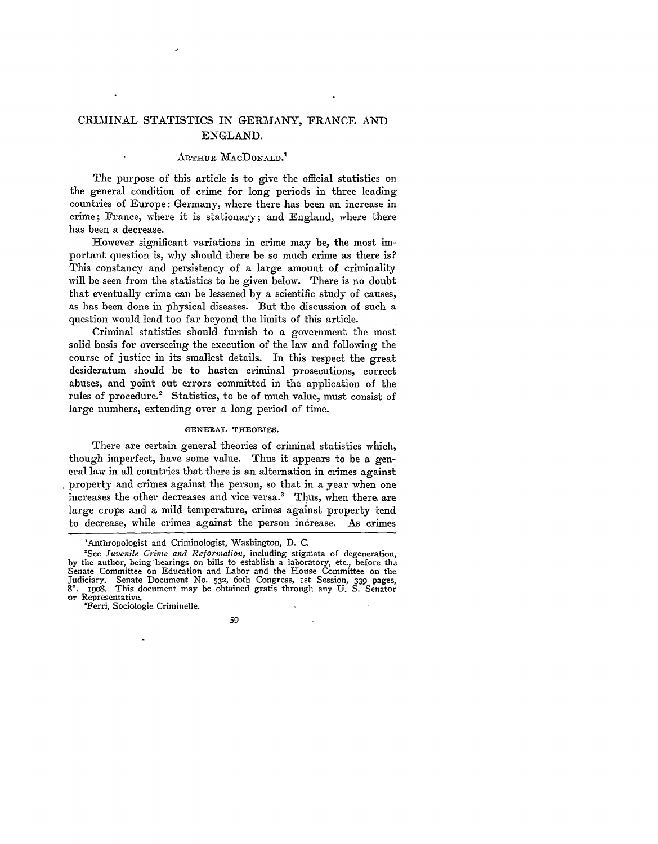## CRIMINAL STATISTICS IN GERMANY, FRANCE AND ENGLAND.

## ARTHUR MACDONALD.<sup>1</sup>

The purpose of this article is to give the official statistics on the general condition of crime for long periods in three leading countries of Europe: Germany, where there has been an increase in crime; France, where it is stationary; and England, where there has been a decrease.

However significant variations in crime may be, the most important question is, why should there be so much crime as there is? This constancy and persistency of a large amount of criminality will be seen from the statistics to be given below. There is no doubt that eventually crime can be lessened by a scientific study of causes, as has been done in physical diseases. But the discussion of such a question would lead too far beyond the limits of this article.

Criminal statistics should furnish to a government the most solid basis for overseeing the execution of the law and following the course of justice in its smallest details. In this respect the great desideratum should be to hasten criminal prosecutions, correct abuses, and point out errors committed in the application of the rules of procedure.<sup>2</sup> Statistics, to be of much value, must consist of large numbers, extending over a long period of time.

## **GENERAL THEORIES.**

There are certain general theories of criminal statistics which, though imperfect, have some value. Thus it appears to be a general law in all countries that there is an alternation in crimes against property and crimes against the person, so that in a year when one increases the other decreases and vice versa.<sup>3</sup> Thus, when there, are large crops and a mild temperature, crimes against property tend to decrease, while crimes against the person increase. As crimes

<sup>&#</sup>x27;Anthropologist and Criminologist, Washington, D. C.<br>'See Juvenile Crime and Reformation, including stigmata of degeneration, by the author, being hearings on bills to establish a laboratory, etc., before the Senate Committee on Education and Labor and the House Committee on the Judiciary. Senate Document No. 532, 6oth Congress, 1st Session, 339 pages, 8°. 1908. This document may be obtained gratis through any U. S. Senator or or Representative.<br>"Ferri, Sociologie Criminelle.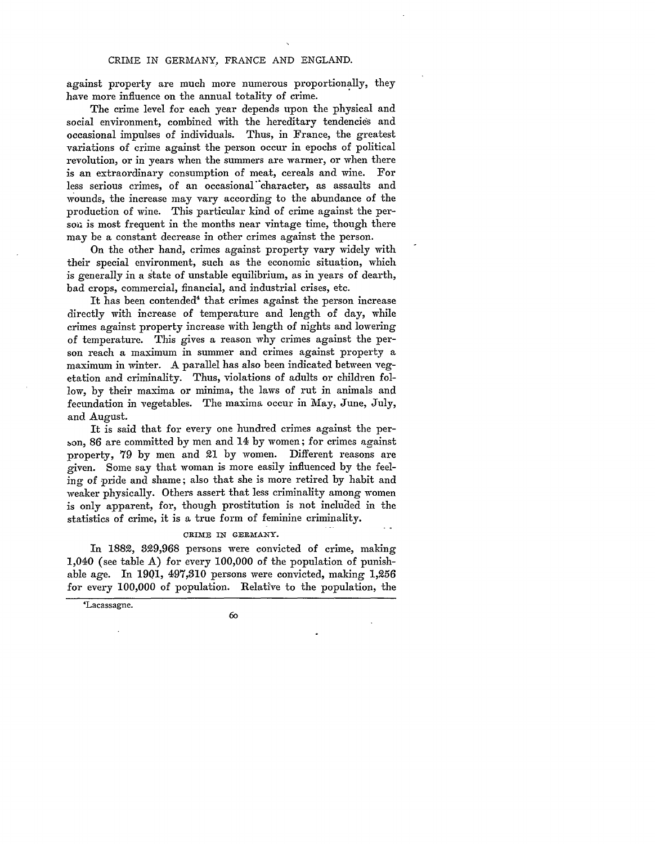against property are much more numerous proportionally, they have more influence on the annual totality of crime.

The crime level for each year depends upon the physical and social environment, combined with the hereditary tendencies and occasional impulses of individuals. Thus, in France, the greatest variations of crime against the person occur in epochs of political revolution, or in years when the summers are warmer, or when there is an extraordinary consumption of meat, cereals and wine. For less serious crimes, of an occasional "character, as assaults and wounds, the increase may vary according to the abundance of the production of wine. This particular kind of crime against the persou is most frequent in the months near vintage time, though there may be a constant decrease in other crimes against the person.

On the other hand, crimes against property vary widely with their special environment, such as the economic situation, which is generally in a state of unstable equilibrium, as in years of dearth, bad crops, commercial, financial, and industrial crises, etc.

It has been contended' that crimes against the person increase directly with increase of temperature and length of day, while crimes against property increase with length of nights and lowering of temperature. This gives a reason why crimes against the person reach a maximum in summer and crimes against property a maximum in winter. A parallel has also been indicated between vegetation and criminality. Thus, violations of adults or children follow, by their maxima or minima, the laws of rut in animals and fecundation in vegetables. The maxima occur in May, June, July, and August.

It is said that for every one hundred crimes against the person, 86 are committed by men and 14 by women; for crimes against property, 79 by men and 21 by women. Different reasons are given. Some say that woman is more easily influenced by the feeling of pride and shame; also that she is more retired by habit and weaker physically. Others assert that less criminality among women is only apparent, for, though prostitution is not included in the statistics of crime, it is a true form of feminine criminality.

#### CRIME IN GERMANY.

In 1882, 329,968 persons were convicted of crime, making 1,040 (see table A) for every 100,000 of the population of punishable age. In 19Q1, 497,310 persons were convicted, making 1,256 for every 100,000 of population. Relative to the population, the

'Lacassagne.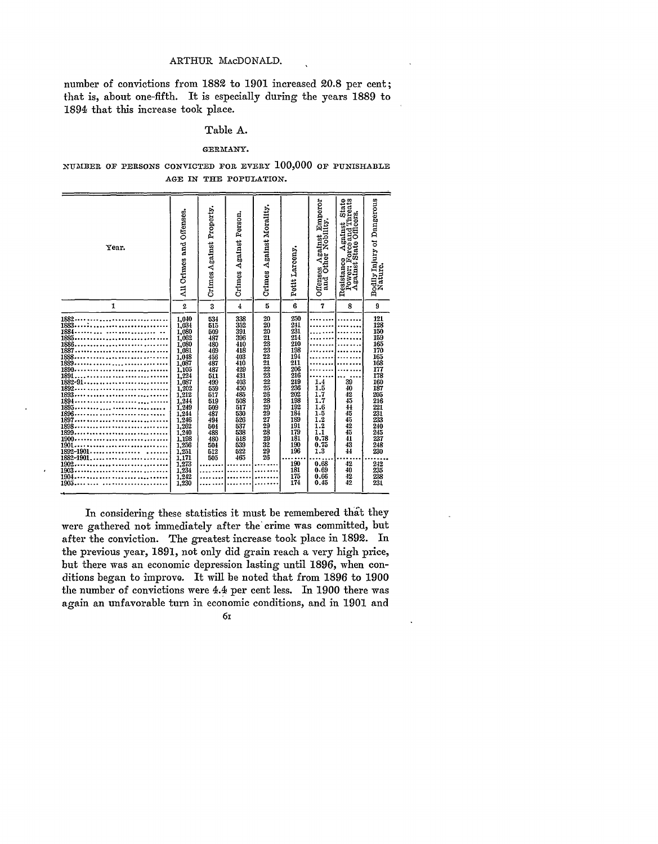## ARTHUR MACDONALD.

number of convictions from 1882 to 1901 increased 20.8 per cent; that is, about one-fifth. It is especially during the years 1889 to 1894 that this increase took place.

## Table A.

## GERMANY.

## NUMBER OF PERSONS CONVICTED FOR EVERY 100,000 OF PUNISHABLE AGE IN THE POPULATION.

| Year.                                                                                                                                                                                                 | All Crimes and Offenses.                                                                                                                                                                                                              | Crimes Against Property.                                                                                                                                      | Crimes Against Person.                                                                                                                                        | Crimes Against Morality.                                                                  | Petit Larceny.                                                                                                                                         | es Against Emperor<br>Other Nobility,<br>Offenses<br>and Otl                              | esistance Against State<br>Power: Forceand Threats<br>Against State Officers.<br>Resistance | Dangerous<br>Bodlly Injury of<br>Nature,                                                                                                                             |
|-------------------------------------------------------------------------------------------------------------------------------------------------------------------------------------------------------|---------------------------------------------------------------------------------------------------------------------------------------------------------------------------------------------------------------------------------------|---------------------------------------------------------------------------------------------------------------------------------------------------------------|---------------------------------------------------------------------------------------------------------------------------------------------------------------|-------------------------------------------------------------------------------------------|--------------------------------------------------------------------------------------------------------------------------------------------------------|-------------------------------------------------------------------------------------------|---------------------------------------------------------------------------------------------|----------------------------------------------------------------------------------------------------------------------------------------------------------------------|
| 1                                                                                                                                                                                                     | $\overline{2}$                                                                                                                                                                                                                        | 3                                                                                                                                                             | $\overline{4}$                                                                                                                                                | 5                                                                                         | 6                                                                                                                                                      | $\overline{7}$                                                                            | 8                                                                                           | $\boldsymbol{9}$                                                                                                                                                     |
| 1882<br>1883<br>1884<br>1885<br>1886<br>1887<br>1888<br>1889<br>1890<br>1891<br>1882-91<br>1892<br>1893<br>1894<br>1895<br>1896<br>1897<br>1898<br>1899<br><br>1900<br>1901<br>1892-1901<br>1882-1901 | 1,040<br>1,034<br>1,080<br>1,062<br>1,080<br>1,081<br>1.048<br>1,087<br>1,105<br>1.224<br>1,087<br>1,202<br>1.212<br>1,244<br>1,249<br>1.244<br>1.246<br>$\overline{1,262}$<br>$\overline{1,240}$<br>1,198<br>1.256<br>1.251<br>1.171 | 534<br>515<br>509<br>487<br>480<br>469<br>456<br>487<br>487<br>511<br>499<br>559<br>517<br>519<br>509<br>487<br>494<br>504<br>488<br>480<br>504<br>512<br>505 | 338<br>352<br>391<br>396<br>410<br>418<br>403<br>410<br>429<br>431<br>403<br>450<br>485<br>508<br>517<br>530<br>526<br>537<br>538<br>518<br>539<br>522<br>465 | 20<br>20<br>20<br>21<br>23<br>23<br>22 21 22 23 22 25 26 28 29 29 27 29 28 29 29 20 20 20 | 250<br>241<br>231<br>214<br>210<br>198<br>194<br>211<br>206<br>216<br>219<br>236<br>202<br>198<br>192<br>184<br>189<br>191<br>179<br>181<br>190<br>196 | 1.4<br>1.5<br>1.7<br>1.7<br>1.6<br>$\frac{1.5}{1.2}$<br>1.2<br>1.1<br>0.78<br>0.75<br>1.3 | $\frac{39}{40}$<br>42<br>45<br>44<br>45<br>45<br>42<br>$\overline{45}$<br>41<br>43<br>44    | 121<br>128<br>150<br>159<br>165<br>170<br>165<br>168<br>177<br>178<br>160<br>$\frac{187}{205}$<br>216<br>221<br>231<br>233<br>240<br>245<br>245<br>237<br>248<br>230 |
| 1902<br>1903<br>1904<br>.<br>1905. .<br>$\overline{a}$                                                                                                                                                | 1,273<br>1.234<br>$\frac{1}{2}$ , $\frac{242}{230}$                                                                                                                                                                                   |                                                                                                                                                               |                                                                                                                                                               |                                                                                           | 190<br>181<br>175<br>171                                                                                                                               | 0.68<br>0.69<br>0.66<br>0.45                                                              | 42<br>40<br>42<br>$\overline{42}$                                                           | $\frac{242}{235}$<br>$\widetilde{\substack{238 \ 231}}$                                                                                                              |

In considering these statistics it must be remembered that they were gathered not immediately after the crime was committed, but after the conviction. The greatest increase took place in 1892. In the previous year, 1891, not only did grain reach a very high price, but there was an economic depression lasting until 1896, when conditions began to improve. It will be noted that from 1896 to 1900 the number of convictions were 4.4 per cent less. In 1900 there was again an unfavorable turn in economic conditions, and in 1901 and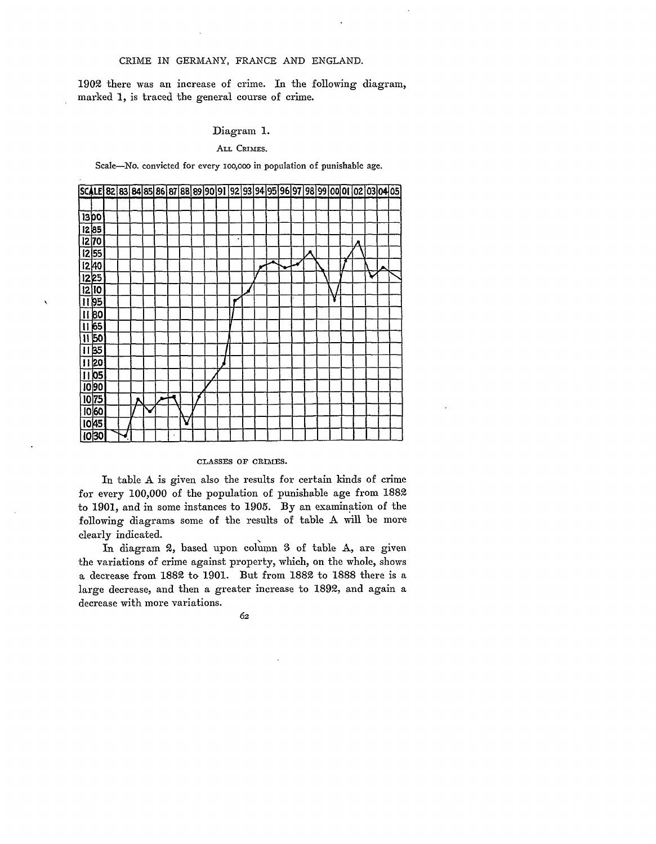## CRIME IN GERMANY, FRANCE AND ENGLAND.

1902 there was an increase of crime. In the following diagram, marked 1, is traced the general course of crime.

## Diagram 1.

## ALL CRIMES.

Scale-No. convicted for every 100,000 in population of punishable age.



 $\lambda$ 

#### CLASSES OF CRIMES.

In table A is given also the results for certain kinds of crime for every 100,000 of the population of punishable age from 1882 to 1901, and in some instances to 1905. By an examination of the following diagrams some of the results of table A will be more clearly indicated.

In diagram 2, based upon column 3 of table A, are given the variations of crime against property, which, on the whole, shows a decrease from 1882 to 1901. But from 1882 to 1888 there is a large decrease, and then a greater increase to 1892, and again a decrease with more variations.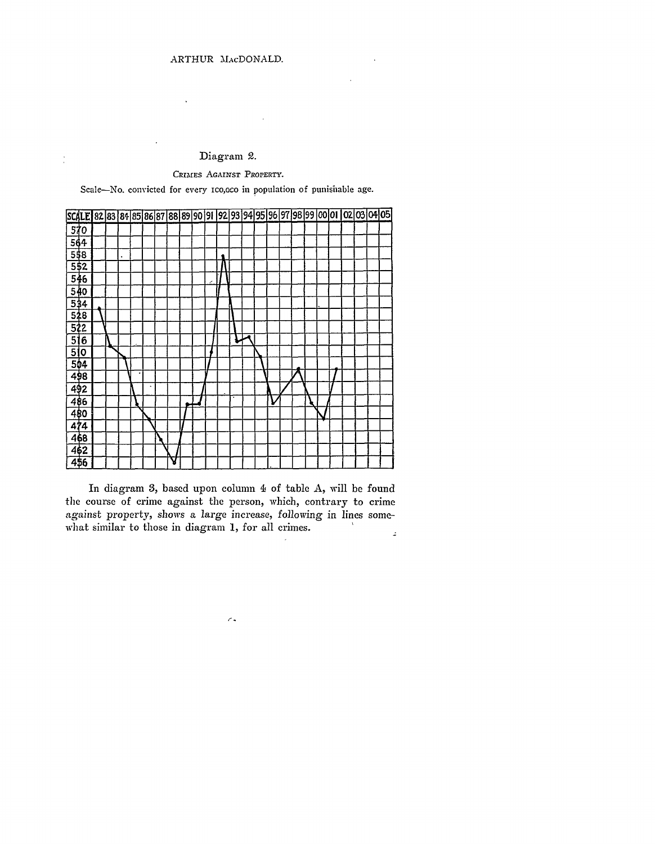l,

 $\frac{1}{2}$ 

## Diagram 2.

## CRIMES *AGAINST* PROPERTY.

Scale-No. convicted for every ico,oco in population of punishable age.

| SCALE 82 83 84 85 86 87 88 89 90 91 92 93 94 95 96 97 98 99 00 01 02 03 04 05 |     |  |   |   |   |  |  |  |   |  |  |  |  |  |
|-------------------------------------------------------------------------------|-----|--|---|---|---|--|--|--|---|--|--|--|--|--|
| 570                                                                           |     |  |   |   |   |  |  |  |   |  |  |  |  |  |
| 564                                                                           |     |  |   |   |   |  |  |  |   |  |  |  |  |  |
| 558                                                                           |     |  | ٠ |   |   |  |  |  |   |  |  |  |  |  |
| 5\$2                                                                          |     |  |   |   |   |  |  |  |   |  |  |  |  |  |
| 546                                                                           |     |  |   |   |   |  |  |  |   |  |  |  |  |  |
| 540                                                                           |     |  |   |   |   |  |  |  |   |  |  |  |  |  |
| 534                                                                           |     |  |   |   |   |  |  |  |   |  |  |  |  |  |
| 528                                                                           |     |  |   |   |   |  |  |  |   |  |  |  |  |  |
| 522                                                                           |     |  |   |   |   |  |  |  |   |  |  |  |  |  |
| 51                                                                            | 6   |  |   |   |   |  |  |  |   |  |  |  |  |  |
| 51                                                                            | 0   |  |   |   |   |  |  |  |   |  |  |  |  |  |
| 504                                                                           |     |  |   |   |   |  |  |  |   |  |  |  |  |  |
| 498                                                                           |     |  |   | ٠ |   |  |  |  |   |  |  |  |  |  |
| 492                                                                           |     |  |   |   |   |  |  |  | п |  |  |  |  |  |
| 486                                                                           |     |  |   |   |   |  |  |  |   |  |  |  |  |  |
| 480                                                                           |     |  |   |   |   |  |  |  |   |  |  |  |  |  |
|                                                                               | 474 |  |   |   |   |  |  |  |   |  |  |  |  |  |
| 468                                                                           |     |  |   |   |   |  |  |  |   |  |  |  |  |  |
| 462                                                                           |     |  |   |   |   |  |  |  |   |  |  |  |  |  |
| 456                                                                           |     |  |   |   | У |  |  |  |   |  |  |  |  |  |

In diagram **3,** based upon column **I** of table A, will be found the course of crime against the person, which, contrary to crime *against* property, shows a large increase, following in lines somewhat similar to those in diagram **1,** for all crimes.  $\mathbb{L}$ 

 $\tilde{\mathcal{L}}$  .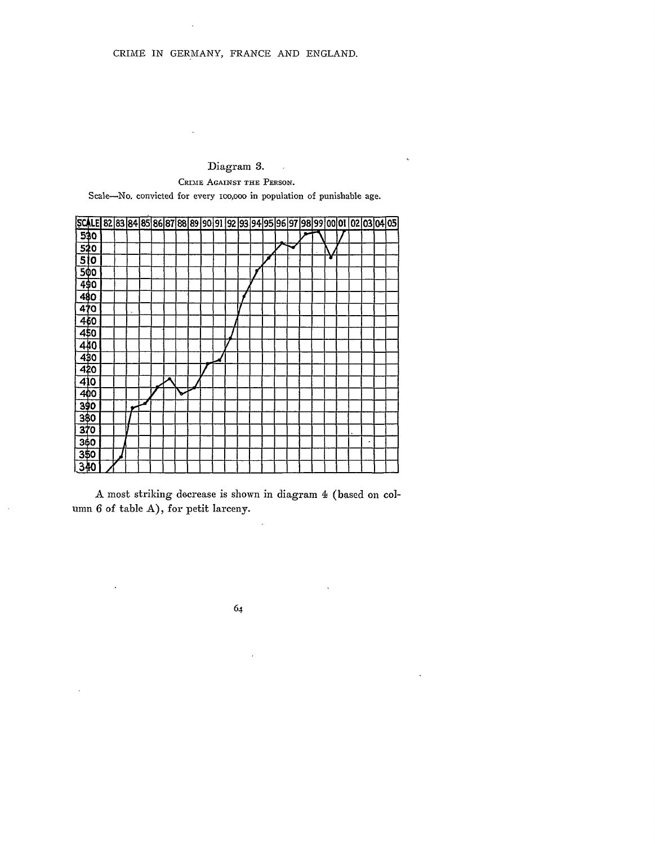#### Diagram **3.**  $\bar{\omega}$

 $\epsilon$ 

l.

**CRIME** AGAINST THE PERSON.

Scale-No. convicted for every ico,ooo in population of punishable age.



A most striking decrease is shown in diagram **I** (based on column 6 of table A), for petit larceny.

 $\bar{\alpha}$ 

 $6<sub>4</sub>$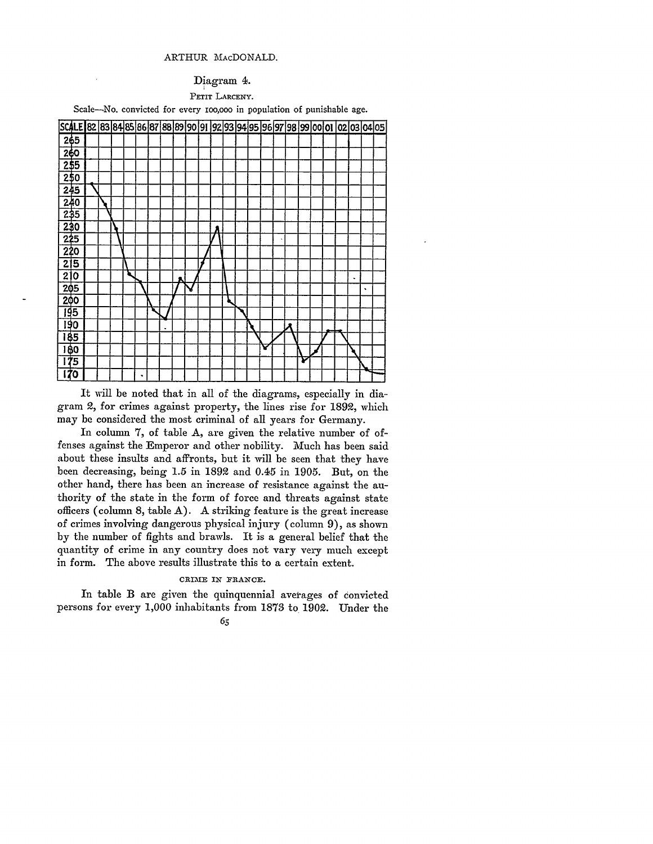### ARTHUR MAcDONALD.

#### Diagram **4.**

PETIT LARCENY.

Scale-No. convicted for every 100,000 in population of punishable age.



It will be noted that in all of the diagrams, especially in diagram 2, for crimes against property, the lines rise for 1892, which may be considered the most criminal of all years for Germany.

In column 7, of table A, are given the relative number of offenses against the Emperor and other nobility. Much has been said about these insults and affronts, but it will be seen that they have been decreasing, being 1.5 in 1892 and 0.45 in 1905. But, on the other hand, there has been an increase of resistance against the authority of the state in the form of force and threats against state officers (column 8, table  $A$ ). A striking feature is the great increase of crimes involving dangerous physical injury (column 9), as shown by the number of fights and brawls. It is a general belief that the quantity of crime in any country does not vary very much except in form. The above results illustrate this to a certain extent.

## CRIME IN FRANCE.

In table B are given the quinquennial averages of convicted persons for every **1,000** inhabitants from 1873 to **1902.** Under the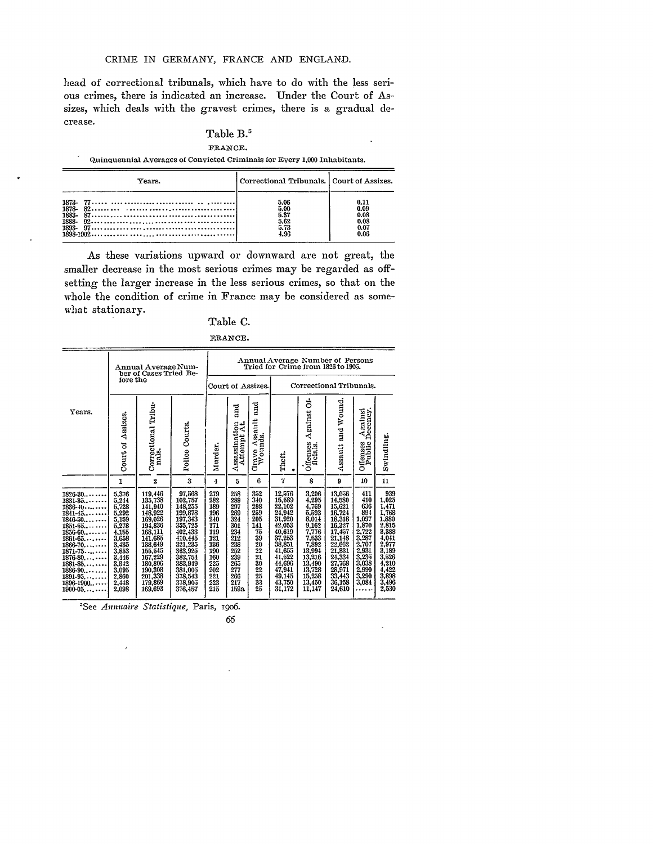head of correctional tribunals, which have to do with the less serious crimes, there is indicated an increase. Under the Court of Assizes, which deals with the gravest crimes, there is a gradual decrease.

## Table B.'

FRANCE.

Quinquennial Averages of Convicted Criminals for Every **1,000** Inhabitants.

|               | Years.                                                                                     | Correctional Tribunals. Court of Assizes.    |                                              |
|---------------|--------------------------------------------------------------------------------------------|----------------------------------------------|----------------------------------------------|
| 1873<br>1888- | $1893 - 97 \dots  \dots \dots \dots \dots \dots \dots \dots \dots \dots \dots \dots \dots$ | 5.06<br>5.00<br>5.37<br>5.62<br>5.73<br>4.96 | 0.11<br>0.09<br>0.08<br>0.08<br>0.07<br>0.06 |

As these variations upward or downward are not great, the smaller decrease in the most serious crimes may be regarded as offsetting the larger increase in the less serious crimes, so that **on** the whole the condition of crime in France may be considered as some- 'hat stationary.

## Table **C.**

|                                                                                                                                                                                                                                                             |                                                                                                                                              | Annual Average Num-<br>ber of Cases Tried Be-                                                                                                                                |                                                                                                                                                                               |                                                                                                              |                                                                                                                      |                                                                                          | Annual Average Number of Persons<br>Tried for Crime from 1826 to 1905.                                                                                       |                                                                                                                                                     |                                                                                                                                                             |                                                                                                                                  |                                                                                                                                                                           |
|-------------------------------------------------------------------------------------------------------------------------------------------------------------------------------------------------------------------------------------------------------------|----------------------------------------------------------------------------------------------------------------------------------------------|------------------------------------------------------------------------------------------------------------------------------------------------------------------------------|-------------------------------------------------------------------------------------------------------------------------------------------------------------------------------|--------------------------------------------------------------------------------------------------------------|----------------------------------------------------------------------------------------------------------------------|------------------------------------------------------------------------------------------|--------------------------------------------------------------------------------------------------------------------------------------------------------------|-----------------------------------------------------------------------------------------------------------------------------------------------------|-------------------------------------------------------------------------------------------------------------------------------------------------------------|----------------------------------------------------------------------------------------------------------------------------------|---------------------------------------------------------------------------------------------------------------------------------------------------------------------------|
|                                                                                                                                                                                                                                                             | fore the                                                                                                                                     |                                                                                                                                                                              |                                                                                                                                                                               |                                                                                                              | Court of Assizes.                                                                                                    |                                                                                          |                                                                                                                                                              | Correctional Tribunals.                                                                                                                             |                                                                                                                                                             |                                                                                                                                  |                                                                                                                                                                           |
| Years.                                                                                                                                                                                                                                                      | Assizes.<br>Court of                                                                                                                         | Correctional Tribu-<br>nals.                                                                                                                                                 | Courts.<br>Police                                                                                                                                                             | Murder.                                                                                                      | nd<br>El<br>Assassination<br>Attempt At.                                                                             | <b>Fa</b><br>Grave Assault<br>Wounds.                                                    | Theft.                                                                                                                                                       | ទ់<br>Against<br>Offenses<br>fletals.                                                                                                               | Assault and Wound.                                                                                                                                          | Against<br>Decency.<br>Offenses<br>Public                                                                                        | Swindling.                                                                                                                                                                |
|                                                                                                                                                                                                                                                             | 1                                                                                                                                            | $\boldsymbol{2}$                                                                                                                                                             | $\mathbf{3}$                                                                                                                                                                  | 4                                                                                                            | 5                                                                                                                    | 6                                                                                        | 7                                                                                                                                                            | 8                                                                                                                                                   | 9                                                                                                                                                           | 10                                                                                                                               | 11                                                                                                                                                                        |
| $1826-30 \cdots$<br>1831-35.<br>1836-10<br>$1841 - 45$<br>1846-50.<br>$1851 - 55$<br>$1856 - 60$<br>$1861 - 65$<br>$1866 - 70$<br>$1871 - 75$<br>$1876-80$<br>$1881 - 85$<br>$1886-90$<br>$1891 - 95$<br>$1896 - 1900 \cdots$<br>$1900 - 05, \ldots \cdots$ | 5,376<br>5,244<br>5,728<br>5,292<br>5,159<br>5,278<br>4,155<br>3,658<br>3,435<br>3,853<br>3,446<br>3,342<br>3,095<br>2,860<br>2,448<br>2,098 | 119,446<br>135,738<br>141,940<br>148,922<br>169,026<br>194,836<br>168,111<br>141,685<br>138,649<br>155,545<br>167,229<br>180,806<br>190,308<br>201,338<br>179,869<br>169,693 | 97,568<br>102,757<br>148,255<br>199,878<br>197.343<br>355.725<br>402, 433<br>410,445<br>321,235<br>363,925<br>382,754<br>383,949<br>381,005<br>378,543<br>378.905<br>376, 157 | 279<br>282<br>189<br>196<br>240<br>171<br>119<br>121<br>136<br>190<br>160<br>225<br>202<br>221<br>223<br>215 | 258<br>289<br>297<br>289<br>324<br>301<br>234<br>212<br>238<br>252<br>239<br>$\frac{265}{277}$<br>266<br>217<br>159a | 352<br>340<br>298<br>259<br>205<br>141<br>$\frac{75}{39}$<br>$\frac{20}{22}$<br>30225335 | 12,576<br>15,589<br>22,102<br>21,942<br>31,920<br>42,053<br>40,619<br>37,253<br>38,851<br>41,655<br>41,522<br>44,696<br>47,941<br>49,145<br>43,750<br>31,172 | 3,206<br>4,295<br>4,769<br>5,593<br>8,014<br>9,162<br>7,776<br>7,533<br>7,892<br>13,994<br>13,216<br>13,490<br>13,728<br>15,258<br>13,450<br>11,147 | 13,056<br>14,580<br>15,621<br>16,724<br>18,318<br>16,327<br>17,457<br>11,48<br>22,662<br>21,331<br>24,334<br>27,768<br>28,971<br>33,443<br>36,158<br>24,610 | 411<br>410<br>636<br>894<br>1,097<br>1,870<br>2,722<br>3,287<br>2,707<br>2,931<br>3,235<br>3,038<br>2,990<br>3,290<br>3,084<br>. | 939<br>$\begin{array}{c} 1,025 \\ 1,471 \\ 1,768 \\ 1,880 \\ 2,815 \\ 3,388 \\ 4,041 \\ 2,977 \\ 3,189 \\ 3,526 \\ 4,210 \\ 4,422 \\ 3,898 \\ 3,496 \end{array}$<br>2,530 |

'See *Annuaire Statistique,* Paris, I906.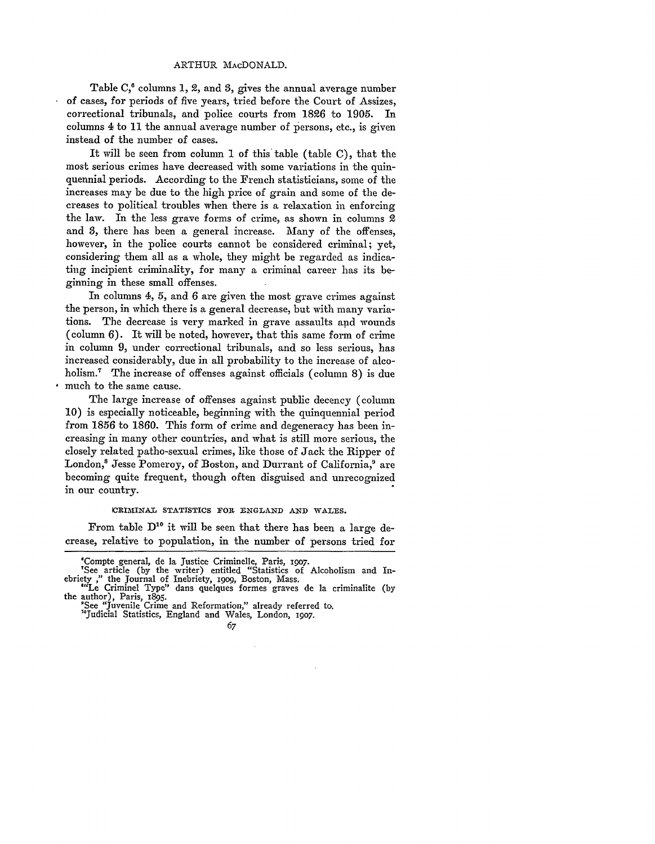#### ARTHUR MACDONALD.

Table **C,'** columns **1,** 2, and **3,** gives the annual average number of cases, for periods of five years, tried before the Court of Assizes, correctional tribunals, and police courts from 1826 to 1905. In columns 4 to 11 the annual average number of persons, etc., is given instead of the number of cases.

It will be seen from column 1 of this table (table C), that the most serious crimes have decreased with some variations in the quinquennial periods. According to the French statisticians, some of the increases may be due to the high price of grain and some of the decreases to political troubles when there is a relaxation in enforcing the law. In the less grave forms of crime, as shown in columns 2 and 3, there has been a general increase. Many of the offenses, however, in the police courts cannot be considered criminal; yet, considering them all as a whole, they might be regarded as indicating incipient criminality, for many a criminal career has its beginning in these small offenses.

In columns 4, 5, and 6 are given the most grave crimes against the person, in which there is a general decrease, but with many variations. The decrease is very marked in grave assaults and wounds (column 6). It will be noted, however, that this same form of crime in column 9, under correctional tribunals, and so less serious, has increased considerably, due in all probability to the increase of alcoholism.<sup>7</sup> The increase of offenses against officials (column 8) is due much to the same cause.

The large increase of offenses against public decency (column 10) is especially noticeable, beginning with the quinquennial period from 1856 to 1860. This form of crime and degeneracy has been increasing in many other countries, and what is still more serious, the closely related patho-sexual crimes, like those of Jack the Ripper of London,<sup>8</sup> Jesse Pomeroy, of Boston, and Durrant of California,<sup>9</sup> are becoming quite frequent, though often disguised and unrecognized in our country.

CRIMINAL STATISTICS FOR ENGLAND AND WALES.

From table **D"0** it will be seen that there has been a large decrease, relative to population, in the number of persons tried for

<sup>&#</sup>x27;Compte general, de la Justice Criminelle, Paris, **19o7.**

<sup>&#</sup>x27;See article (by the writer) entitled "Statistics of Alcoholism and Inebriety ," the Journal of Inebriety, igop, Boston, Mass. "'Le Criminel Type" dans quelques formes graves de la criminalite (by the author), Paris, I895.

the author), Paris, 1895.<br>"See "Juvenile Crime and Reformation," already referred to.

<sup>&</sup>lt;sup>16</sup>Judicial Statistics, England and Wales, London, 1907.

<sup>67</sup>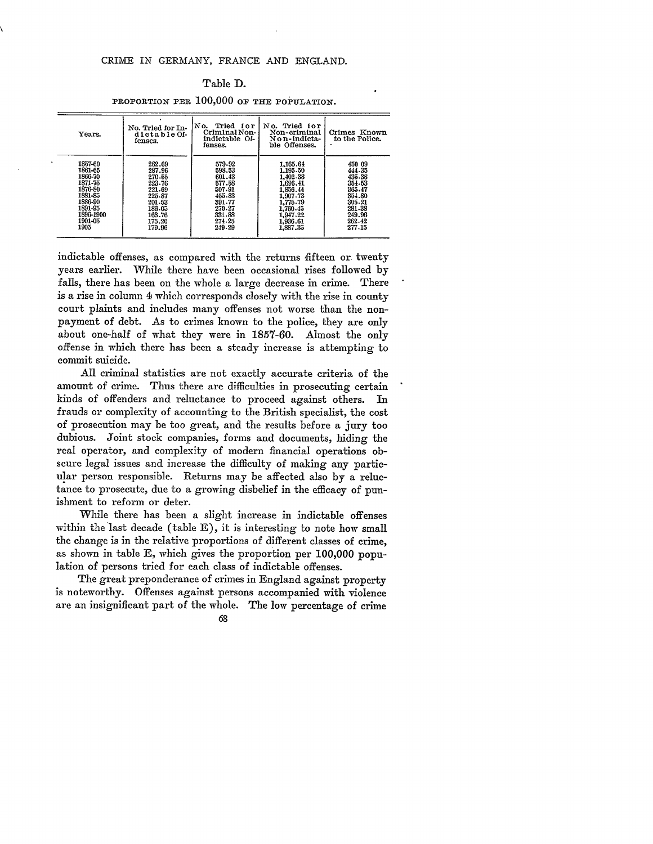## CRIME IN GERMANY, FRANCE AND ENGLAND.

## Table D.

PROPORTION PER  $100,000$  OF THE POPULATION.

| Years.                                                                                                               | No. Tried for In-<br>dictable Of-<br>fenses.                                                               | No.<br>Tried for<br>Criminal Non-<br>indictable Of-<br>fenses.                                             | No. Tried for<br>Non-criminal<br>Non-indicta-<br>ble Offenses.                                                                   | Crimes Known<br>to the Police.                                                                             |
|----------------------------------------------------------------------------------------------------------------------|------------------------------------------------------------------------------------------------------------|------------------------------------------------------------------------------------------------------------|----------------------------------------------------------------------------------------------------------------------------------|------------------------------------------------------------------------------------------------------------|
| 1857-60<br>1861-65<br>1866-70<br>1871-75<br>1876-80<br>1881-85<br>1886-90<br>1891-95<br>1896-1900<br>1901-05<br>1905 | 262.69<br>287.96<br>270.55<br>223.76<br>221.69<br>225.87<br>201.53<br>186.05<br>163.76<br>175.20<br>179.96 | 579-92<br>598.53<br>601.43<br>577.58<br>507.91<br>455.83<br>391.77<br>270.27<br>331.88<br>274.25<br>249.29 | 1.165.64<br>1.195.50<br>1,402.38<br>1,696.41<br>1.856.44<br>1.907.73<br>1,775.79<br>1.760.45<br>1,947.22<br>1,936.61<br>1,887,35 | 450 09<br>444.35<br>435.38<br>354.53<br>365.47<br>354.80<br>305.21<br>281.38<br>249.96<br>262.42<br>277.15 |

indictable offenses, as compared with the returns fifteen or twenty years earlier. While there have been occasional rises followed **by** falls, there has been on the whole a large decrease in crime. There is a rise in column **1** which corresponds closely with the rise in county court plaints and includes many offenses not worse than the nonpayment of debt. As to crimes known to the police, they are only about one-half of what they were in 1857-60. Almost the only offense in which there has been a steady increase is attempting to commit suicide.

All criminal statistics are not exactly accurate criteria of the amount of crime. Thus there are difficulties in prosecuting certain kinds of offenders and reluctance to proceed against others. In frauds or complexity of accounting to the British specialist, the cost of prosecution may be too great, and the results before a jury too dubious. Joint stock companies, forms and documents, hiding the real operator, and complexity of modern financial operations obscure legal issues and increase the difficulty of making any particular person responsible. Returns may be affected also **by** a reluctance to prosecute, due to a growing disbelief in the efficacy of punishment to reform or deter.

While there has been a slight increase in indictable offenses within the last decade (table E), it is interesting to note how small the change is in the relative proportions of different classes of crime, as shown in table E, which gives the proportion per 100,000 population of persons tried for each class of indictable offenses.

The great preponderance of crimes in England against property is noteworthy. Offenses against persons accompanied with violence are an insignificant part of the whole. The low percentage of crime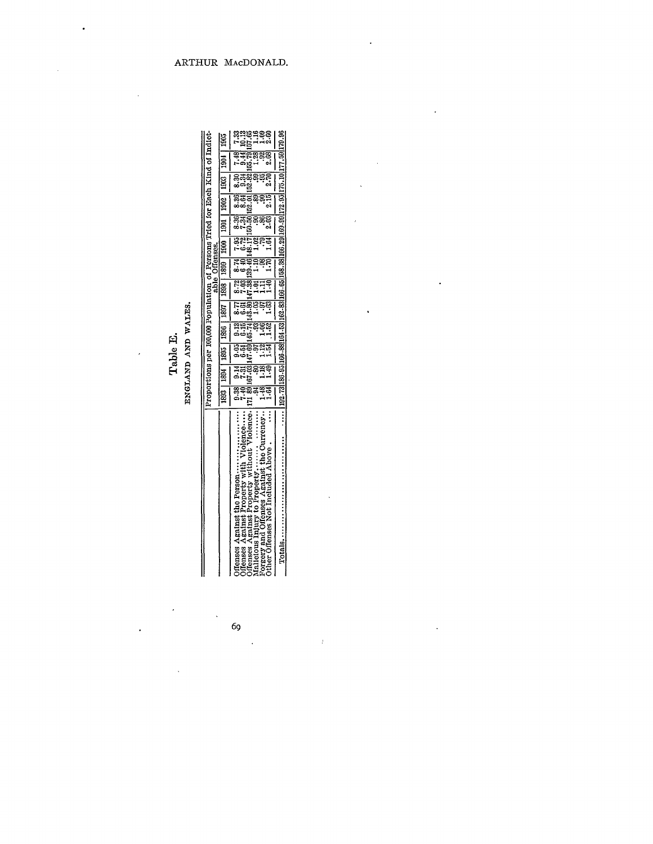|    | ī                  |
|----|--------------------|
| Εĺ | z                  |
| ۴  | ٩,<br>ç<br>7<br>۰. |

| Ì<br> <br> | 11   1805   1907   1908   1808   1808   1808   1808   1908   1908   1908    <br>Proportions per 100,000 Population of Persons Tried for Each                                     |  |  | able Offenses. |  |  |
|------------|----------------------------------------------------------------------------------------------------------------------------------------------------------------------------------|--|--|----------------|--|--|
| arenn      | $\begin{bmatrix} 0.38 & 0.14 \\ 0.05 & 0.13 \end{bmatrix}$ $\begin{bmatrix} 0.77 & 8.77 \\ 8.74 & 8.74 \end{bmatrix}$ $\begin{bmatrix} 7.05 & 7.05 \\ 7.05 & 8.36 \end{bmatrix}$ |  |  |                |  |  |

|                                                                                                                      | Proportions per 100,000 Population of Persons Tried for Each Kind of Indict- |                     |                                                            |                    |                     |                |                   |                       |                  |               |                                                               |               |               |
|----------------------------------------------------------------------------------------------------------------------|------------------------------------------------------------------------------|---------------------|------------------------------------------------------------|--------------------|---------------------|----------------|-------------------|-----------------------|------------------|---------------|---------------------------------------------------------------|---------------|---------------|
|                                                                                                                      | 18931                                                                        |                     | 1894   1895                                                | 1896   1897        |                     | able C<br>1808 | Offenses.<br>1809 | $1800$   1901   1902  |                  |               | $\frac{1}{2}$                                                 | $\frac{1}{2}$ | 1905          |
|                                                                                                                      | $\frac{38}{7.40}$                                                            | $\frac{14}{10}$     | ತ್ತಿದೆ<br>ಕಾ                                               |                    | 53.<br>53           |                |                   |                       |                  | 3.36          | 234                                                           |               |               |
| Offenses Against Property with Violence                                                                              |                                                                              |                     |                                                            | ब्रुव्ह<br>नेजर्वे |                     |                |                   | <b>BREBRE</b><br>Poğl | ಕ್ಷಕ್ಷ<br>ಕಾಂತ್ರ |               |                                                               | 55.79         | rag<br>198488 |
| http://www.artist.com/                                                                                               |                                                                              |                     |                                                            |                    |                     |                |                   |                       |                  |               |                                                               | 1.28          |               |
| Against the Currency.                                                                                                | 1.64<br>1.64                                                                 | <u>eada</u><br>Said | $\frac{2}{1.51}$                                           | $\frac{88}{1.52}$  | <u>seis</u><br>Seis | ੜਜੰਡੂ<br>ਜਜੰਡੂ |                   |                       | <u>ತಿಷ್</u> ಣ    | ននុះ<br>ខ្លួន |                                                               |               |               |
| $\vdots$<br>Mallelous Injury to Property<br>Forgery and Offenses Against the Cu<br>Other Offenses Not Included Above |                                                                              |                     |                                                            |                    | <br> <br>           |                |                   |                       | Ī                |               |                                                               | 2.68          |               |
| $\ddot{\ddot{\cdot}}$                                                                                                |                                                                              |                     | 192.73 186.95 166.88 164.53 162.83 166.65 158.38 166.29 16 |                    |                     |                | $\frac{1}{2}$     |                       |                  |               | $0.99$   172.95   175.10   177.59   179.96<br> <br> <br> <br> |               |               |

69

ÿ

 $\hat{\mathcal{A}}$ 

 $\cdot$ 

l,